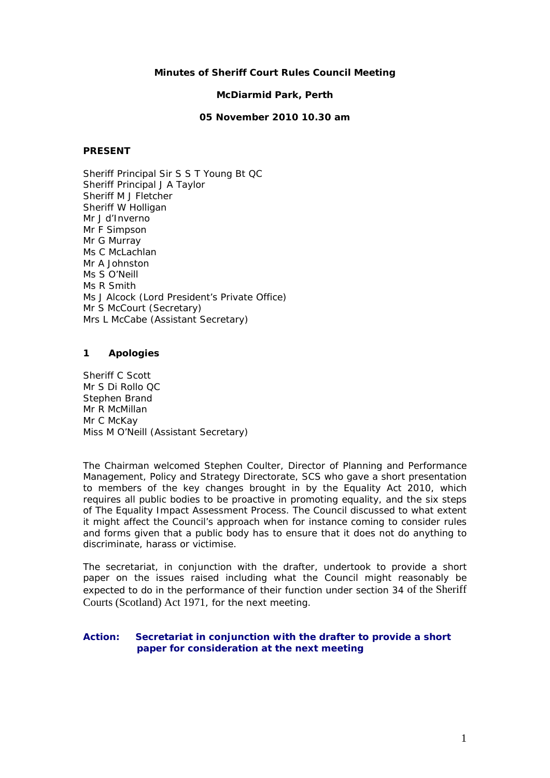## **Minutes of Sheriff Court Rules Council Meeting**

#### **McDiarmid Park, Perth**

## **05 November 2010 10.30 am**

# **PRESENT**

Sheriff Principal Sir S S T Young Bt QC Sheriff Principal J A Taylor Sheriff M J Fletcher Sheriff W Holligan Mr J d'Inverno Mr F Simpson Mr G Murray Ms C McLachlan Mr A Johnston Ms S O'Neill Ms R Smith Ms J Alcock (Lord President's Private Office) Mr S McCourt (Secretary) Mrs L McCabe (Assistant Secretary)

## **1 Apologies**

Sheriff C Scott Mr S Di Rollo QC Stephen Brand Mr R McMillan Mr C McKay Miss M O'Neill (Assistant Secretary)

The Chairman welcomed Stephen Coulter, Director of Planning and Performance Management, Policy and Strategy Directorate, SCS who gave a short presentation to members of the key changes brought in by the Equality Act 2010, which requires all public bodies to be proactive in promoting equality, and the six steps of The Equality Impact Assessment Process. The Council discussed to what extent it might affect the Council's approach when for instance coming to consider rules and forms given that a public body has to ensure that it does not do anything to discriminate, harass or victimise.

The secretariat, in conjunction with the drafter, undertook to provide a short paper on the issues raised including what the Council might reasonably be expected to do in the performance of their function under section 34 of the Sheriff Courts (Scotland) Act 1971, for the next meeting.

# **Action: Secretariat in conjunction with the drafter to provide a short paper for consideration at the next meeting**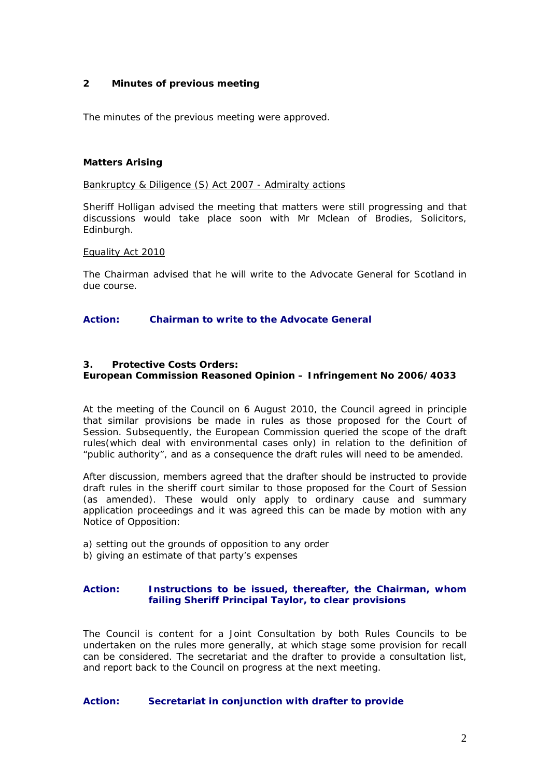# **2 Minutes of previous meeting**

The minutes of the previous meeting were approved.

## **Matters Arising**

#### Bankruptcy & Diligence (S) Act 2007 - Admiralty actions

Sheriff Holligan advised the meeting that matters were still progressing and that discussions would take place soon with Mr Mclean of Brodies, Solicitors, Edinburgh.

## Equality Act 2010

The Chairman advised that he will write to the Advocate General for Scotland in due course.

## **Action: Chairman to write to the Advocate General**

## **3. Protective Costs Orders:**

# **European Commission Reasoned Opinion – Infringement No 2006/4033**

At the meeting of the Council on 6 August 2010, the Council agreed in principle that similar provisions be made in rules as those proposed for the Court of Session. Subsequently, the European Commission queried the scope of the draft rules(which deal with environmental cases only) in relation to the definition of "public authority", and as a consequence the draft rules will need to be amended.

After discussion, members agreed that the drafter should be instructed to provide draft rules in the sheriff court similar to those proposed for the Court of Session (as amended). These would only apply to ordinary cause and summary application proceedings and it was agreed this can be made by motion with any Notice of Opposition:

- a) setting out the grounds of opposition to any order
- b) giving an estimate of that party's expenses

## **Action: Instructions to be issued, thereafter, the Chairman, whom failing Sheriff Principal Taylor, to clear provisions**

The Council is content for a Joint Consultation by both Rules Councils to be undertaken on the rules more generally, at which stage some provision for recall can be considered. The secretariat and the drafter to provide a consultation list, and report back to the Council on progress at the next meeting.

#### **Action: Secretariat in conjunction with drafter to provide**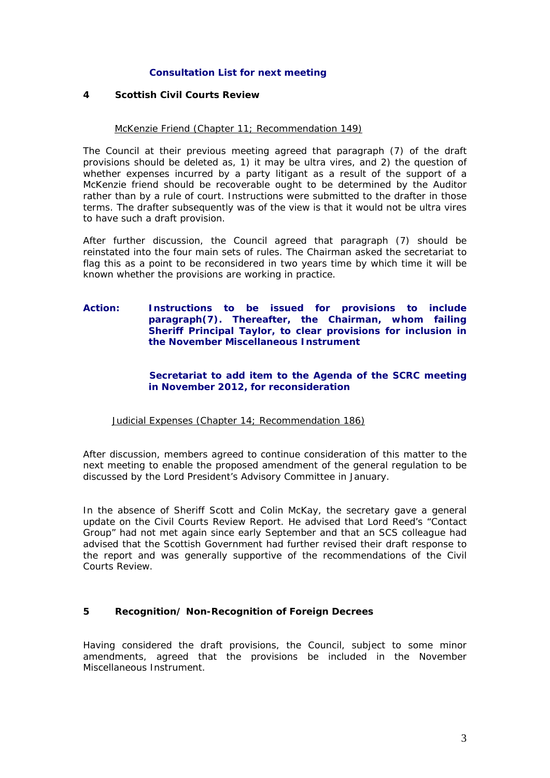# **Consultation List for next meeting**

## **4 Scottish Civil Courts Review**

## McKenzie Friend (Chapter 11; Recommendation 149)

The Council at their previous meeting agreed that paragraph (7) of the draft provisions should be deleted as, 1) it may be ultra vires, and 2) the question of whether expenses incurred by a party litigant as a result of the support of a McKenzie friend should be recoverable ought to be determined by the Auditor rather than by a rule of court. Instructions were submitted to the drafter in those terms. The drafter subsequently was of the view is that it would not be ultra vires to have such a draft provision.

After further discussion, the Council agreed that paragraph (7) should be reinstated into the four main sets of rules. The Chairman asked the secretariat to flag this as a point to be reconsidered in two years time by which time it will be known whether the provisions are working in practice.

# **Action: Instructions to be issued for provisions to include paragraph(7). Thereafter, the Chairman, whom failing Sheriff Principal Taylor, to clear provisions for inclusion in the November Miscellaneous Instrument**

# **Secretariat to add item to the Agenda of the SCRC meeting in November 2012, for reconsideration**

# Judicial Expenses (Chapter 14; Recommendation 186)

After discussion, members agreed to continue consideration of this matter to the next meeting to enable the proposed amendment of the general regulation to be discussed by the Lord President's Advisory Committee in January.

In the absence of Sheriff Scott and Colin McKay, the secretary gave a general update on the Civil Courts Review Report. He advised that Lord Reed's "Contact Group" had not met again since early September and that an SCS colleague had advised that the Scottish Government had further revised their draft response to the report and was generally supportive of the recommendations of the Civil Courts Review.

# **5 Recognition/ Non-Recognition of Foreign Decrees**

Having considered the draft provisions, the Council, subject to some minor amendments, agreed that the provisions be included in the November Miscellaneous Instrument.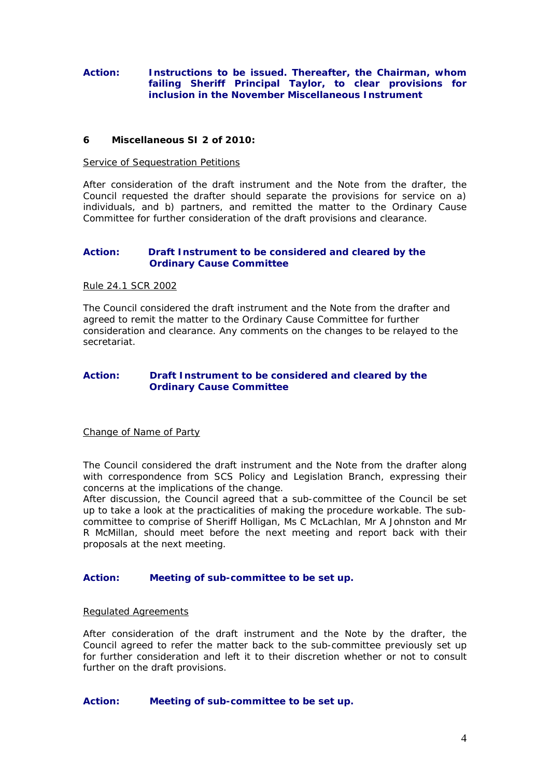# **Action: Instructions to be issued. Thereafter, the Chairman, whom failing Sheriff Principal Taylor, to clear provisions for inclusion in the November Miscellaneous Instrument**

# **6 Miscellaneous SI 2 of 2010:**

#### Service of Sequestration Petitions

After consideration of the draft instrument and the Note from the drafter, the Council requested the drafter should separate the provisions for service on a) individuals, and b) partners, and remitted the matter to the Ordinary Cause Committee for further consideration of the draft provisions and clearance.

## **Action: Draft Instrument to be considered and cleared by the Ordinary Cause Committee**

#### Rule 24.1 SCR 2002

The Council considered the draft instrument and the Note from the drafter and agreed to remit the matter to the Ordinary Cause Committee for further consideration and clearance. Any comments on the changes to be relayed to the secretariat.

## **Action: Draft Instrument to be considered and cleared by the Ordinary Cause Committee**

## Change of Name of Party

The Council considered the draft instrument and the Note from the drafter along with correspondence from SCS Policy and Legislation Branch, expressing their concerns at the implications of the change.

After discussion, the Council agreed that a sub-committee of the Council be set up to take a look at the practicalities of making the procedure workable. The subcommittee to comprise of Sheriff Holligan, Ms C McLachlan, Mr A Johnston and Mr R McMillan, should meet before the next meeting and report back with their proposals at the next meeting.

# **Action: Meeting of sub-committee to be set up.**

#### Regulated Agreements

After consideration of the draft instrument and the Note by the drafter, the Council agreed to refer the matter back to the sub-committee previously set up for further consideration and left it to their discretion whether or not to consult further on the draft provisions.

#### **Action: Meeting of sub-committee to be set up.**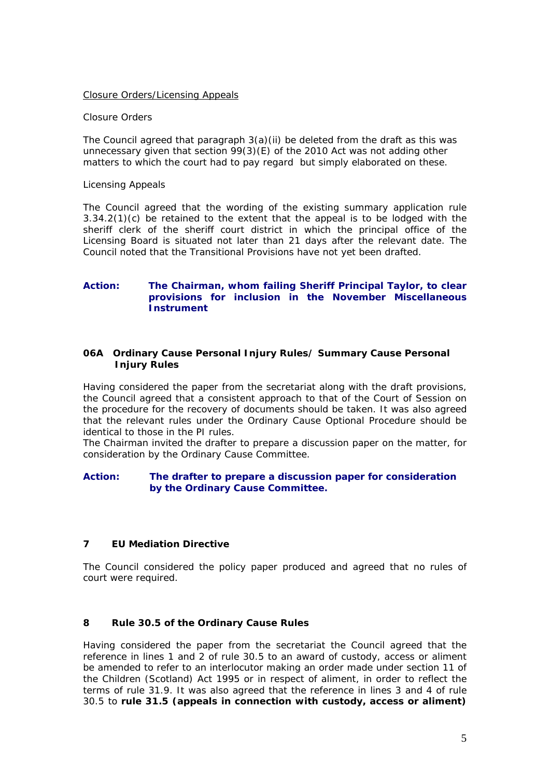## Closure Orders/Licensing Appeals

## *Closure Orders*

The Council agreed that paragraph  $3(a)(ii)$  be deleted from the draft as this was unnecessary given that section 99(3)(E) of the 2010 Act was not adding other matters to which the court had to pay regard but simply elaborated on these.

## *Licensing Appeals*

The Council agreed that the wording of the existing summary application rule 3.34.2(1)(c) be retained to the extent that the appeal is to be lodged with the sheriff clerk of the sheriff court district in which the principal office of the Licensing Board is situated not later than 21 days after the relevant date. The Council noted that the Transitional Provisions have not yet been drafted.

# **Action: The Chairman, whom failing Sheriff Principal Taylor, to clear provisions for inclusion in the November Miscellaneous Instrument**

# **06A Ordinary Cause Personal Injury Rules/ Summary Cause Personal Injury Rules**

Having considered the paper from the secretariat along with the draft provisions, the Council agreed that a consistent approach to that of the Court of Session on the procedure for the recovery of documents should be taken. It was also agreed that the relevant rules under the Ordinary Cause Optional Procedure should be identical to those in the PI rules.

The Chairman invited the drafter to prepare a discussion paper on the matter, for consideration by the Ordinary Cause Committee.

# **Action: The drafter to prepare a discussion paper for consideration by the Ordinary Cause Committee.**

# **7 EU Mediation Directive**

The Council considered the policy paper produced and agreed that no rules of court were required.

# **8 Rule 30.5 of the Ordinary Cause Rules**

Having considered the paper from the secretariat the Council agreed that the reference in lines 1 and 2 of rule 30.5 to an award of custody, access or aliment be amended to refer to an interlocutor making an order made under section 11 of the Children (Scotland) Act 1995 or in respect of aliment, in order to reflect the terms of rule 31.9. It was also agreed that the reference in lines 3 and 4 of rule 30.5 to **rule 31.5 (appeals in connection with custody, access or aliment)**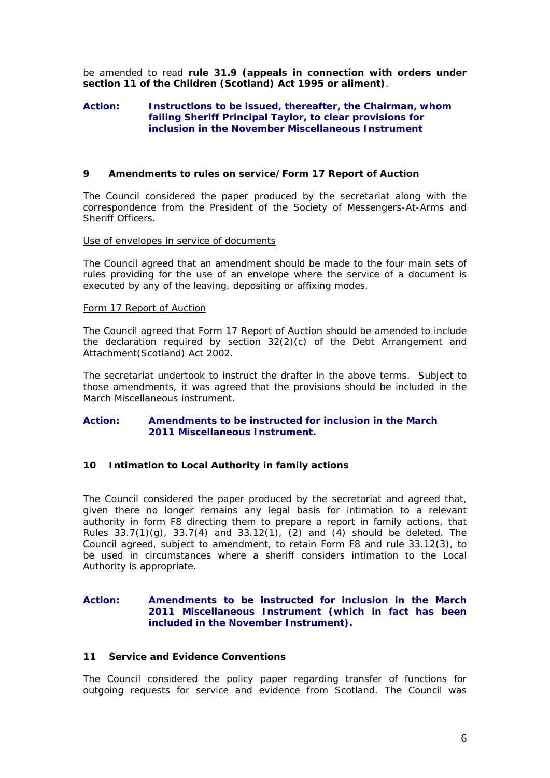be amended to read **rule 31.9 (appeals in connection with orders under section 11 of the Children (Scotland) Act 1995 or aliment)**.

### **Action: Instructions to be issued, thereafter, the Chairman, whom failing Sheriff Principal Taylor, to clear provisions for inclusion in the November Miscellaneous Instrument**

## **9 Amendments to rules on service/Form 17 Report of Auction**

The Council considered the paper produced by the secretariat along with the correspondence from the President of the Society of Messengers-At-Arms and Sheriff Officers.

#### Use of envelopes in service of documents

The Council agreed that an amendment should be made to the four main sets of rules providing for the use of an envelope where the service of a document is executed by any of the leaving, depositing or affixing modes.

#### Form 17 Report of Auction

The Council agreed that Form 17 Report of Auction should be amended to include the declaration required by section 32(2)(c) of the Debt Arrangement and Attachment(Scotland) Act 2002.

The secretariat undertook to instruct the drafter in the above terms. Subject to those amendments, it was agreed that the provisions should be included in the March Miscellaneous instrument.

# **Action: Amendments to be instructed for inclusion in the March 2011 Miscellaneous Instrument.**

#### **10 Intimation to Local Authority in family actions**

The Council considered the paper produced by the secretariat and agreed that, given there no longer remains any legal basis for intimation to a relevant authority in form F8 directing them to prepare a report in family actions, that Rules  $33.7(1)(g)$ ,  $33.7(4)$  and  $33.12(1)$ ,  $(2)$  and  $(4)$  should be deleted. The Council agreed, subject to amendment, to retain Form F8 and rule 33.12(3), to be used in circumstances where a sheriff considers intimation to the Local Authority is appropriate.

## **Action: Amendments to be instructed for inclusion in the March 2011 Miscellaneous Instrument (which in fact has been included in the November Instrument).**

### **11 Service and Evidence Conventions**

The Council considered the policy paper regarding transfer of functions for outgoing requests for service and evidence from Scotland. The Council was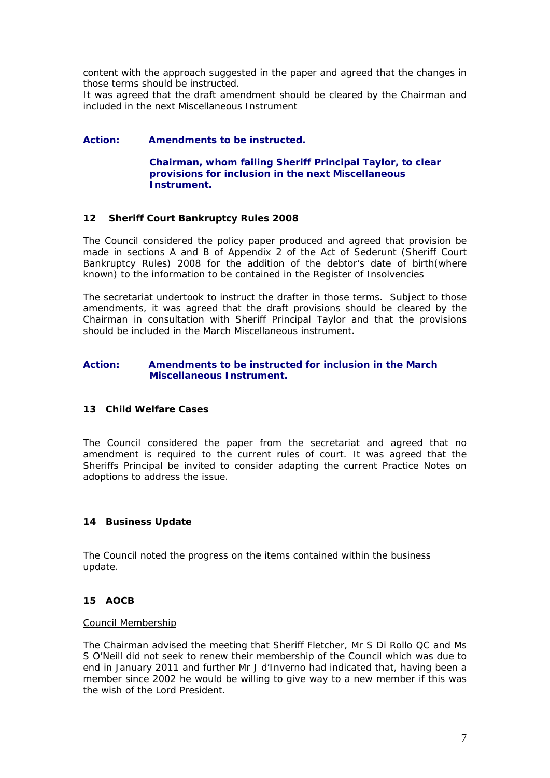content with the approach suggested in the paper and agreed that the changes in those terms should be instructed.

It was agreed that the draft amendment should be cleared by the Chairman and included in the next Miscellaneous Instrument

## **Action: Amendments to be instructed.**

 **Chairman, whom failing Sheriff Principal Taylor, to clear provisions for inclusion in the next Miscellaneous Instrument.** 

## **12 Sheriff Court Bankruptcy Rules 2008**

The Council considered the policy paper produced and agreed that provision be made in sections A and B of Appendix 2 of the Act of Sederunt (Sheriff Court Bankruptcy Rules) 2008 for the addition of the debtor's date of birth(where known) to the information to be contained in the Register of Insolvencies

The secretariat undertook to instruct the drafter in those terms. Subject to those amendments, it was agreed that the draft provisions should be cleared by the Chairman in consultation with Sheriff Principal Taylor and that the provisions should be included in the March Miscellaneous instrument.

## **Action: Amendments to be instructed for inclusion in the March Miscellaneous Instrument.**

# **13 Child Welfare Cases**

The Council considered the paper from the secretariat and agreed that no amendment is required to the current rules of court. It was agreed that the Sheriffs Principal be invited to consider adapting the current Practice Notes on adoptions to address the issue.

# **14 Business Update**

The Council noted the progress on the items contained within the business update.

### **15 AOCB**

#### Council Membership

The Chairman advised the meeting that Sheriff Fletcher, Mr S Di Rollo QC and Ms S O'Neill did not seek to renew their membership of the Council which was due to end in January 2011 and further Mr J d'Inverno had indicated that, having been a member since 2002 he would be willing to give way to a new member if this was the wish of the Lord President.